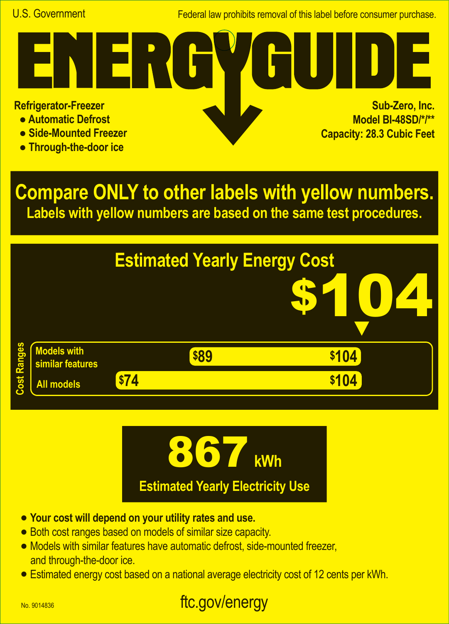Federal law prohibits removal of this label before consumer purchase.

**Refrigerator-Freezer**

- **Automatic Defrost**
- **Side-Mounted Freezer**
- **Through-the-door ice**

**Sub-Zero, Inc. Model BI-48SD/\*/\*\* Capacity: 28.3 Cubic Feet A**

**Compare ONLY to other labels with yellow numbers. Labels with yellow numbers are based on the same test procedures.**





- **• Your cost will depend on your utility rates and use.**
- **•** Both cost ranges based on models of similar size capacity.
- **•** Models with similar features have automatic defrost, side-mounted freezer, and through-the-door ice.
- **•** Estimated energy cost based on a national average electricity cost of 12 cents per kWh.

## ftc.gov/energy